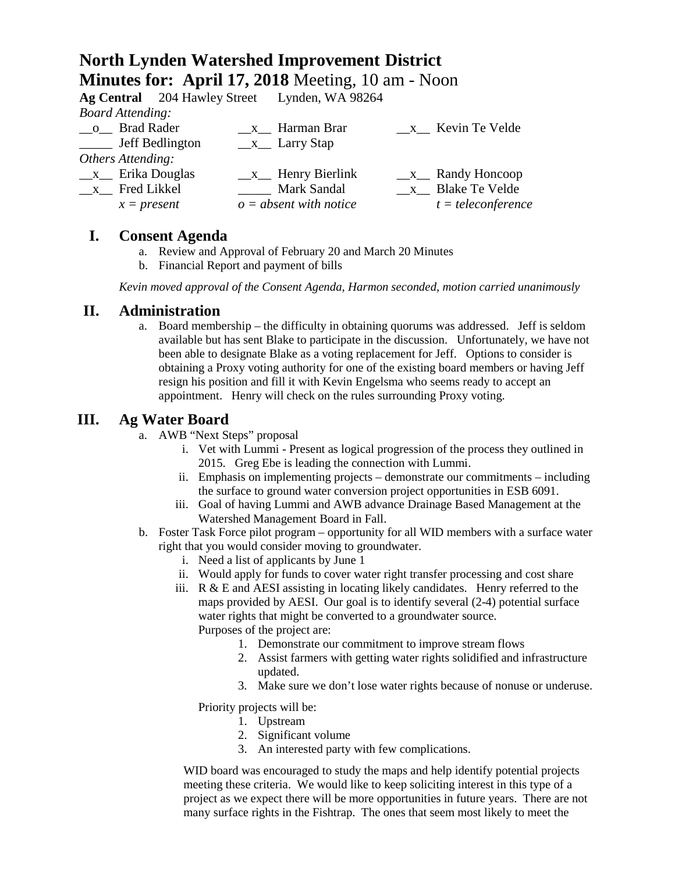# **North Lynden Watershed Improvement District Minutes for: April 17, 2018** Meeting, 10 am - Noon

|                          |  | Ag Central 204 Hawley Street Lynden, WA 98264 |                           |
|--------------------------|--|-----------------------------------------------|---------------------------|
| <b>Board Attending:</b>  |  |                                               |                           |
| o Brad Rader             |  | $\frac{\mathbf{x}}{2}$ Harman Brar            | $x$ Kevin Te Velde        |
| ______ Jeff Bedlington   |  | $\frac{\ }{2}$ Larry Stap                     |                           |
| Others Attending:        |  |                                               |                           |
| $\_\ x\_\$ Erika Douglas |  | $x$ Henry Bierlink                            | $\_\_x\_\_$ Randy Honcoop |
| _x_ Fred Likkel          |  | Mark Sandal                                   | x Blake Te Velde          |
| $x = present$            |  | $o = absent with notice$                      | $t = teleconference$      |
|                          |  |                                               |                           |

### **I. Consent Agenda**

- a. Review and Approval of February 20 and March 20 Minutes
- b. Financial Report and payment of bills

*Kevin moved approval of the Consent Agenda, Harmon seconded, motion carried unanimously*

#### **II. Administration**

a. Board membership – the difficulty in obtaining quorums was addressed. Jeff is seldom available but has sent Blake to participate in the discussion. Unfortunately, we have not been able to designate Blake as a voting replacement for Jeff. Options to consider is obtaining a Proxy voting authority for one of the existing board members or having Jeff resign his position and fill it with Kevin Engelsma who seems ready to accept an appointment. Henry will check on the rules surrounding Proxy voting.

## **III. Ag Water Board**

- a. AWB "Next Steps" proposal
	- i. Vet with Lummi Present as logical progression of the process they outlined in 2015. Greg Ebe is leading the connection with Lummi.
	- ii. Emphasis on implementing projects demonstrate our commitments including the surface to ground water conversion project opportunities in ESB 6091.
	- iii. Goal of having Lummi and AWB advance Drainage Based Management at the Watershed Management Board in Fall.
- b. Foster Task Force pilot program opportunity for all WID members with a surface water right that you would consider moving to groundwater.
	- i. Need a list of applicants by June 1
	- ii. Would apply for funds to cover water right transfer processing and cost share
	- iii.  $R \& E$  and AESI assisting in locating likely candidates. Henry referred to the maps provided by AESI. Our goal is to identify several (2-4) potential surface water rights that might be converted to a groundwater source. Purposes of the project are:
		- 1. Demonstrate our commitment to improve stream flows
		- 2. Assist farmers with getting water rights solidified and infrastructure updated.
		- 3. Make sure we don't lose water rights because of nonuse or underuse.

Priority projects will be:

- 1. Upstream
- 2. Significant volume
- 3. An interested party with few complications.

WID board was encouraged to study the maps and help identify potential projects meeting these criteria. We would like to keep soliciting interest in this type of a project as we expect there will be more opportunities in future years. There are not many surface rights in the Fishtrap. The ones that seem most likely to meet the